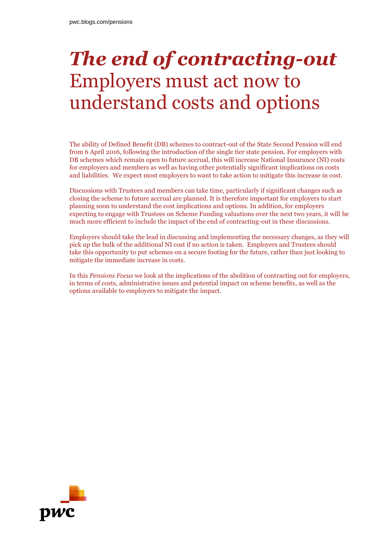# *The end of contracting-out* Employers must act now to understand costs and options

The ability of Defined Benefit (DB) schemes to contract-out of the State Second Pension will end from 6 April 2016, following the introduction of the single tier state pension. For employers with DB schemes which remain open to future accrual, this will increase National Insurance (NI) costs for employers and members as well as having other potentially significant implications on costs and liabilities. We expect most employers to want to take action to mitigate this increase in cost.

Discussions with Trustees and members can take time, particularly if significant changes such as closing the scheme to future accrual are planned. It is therefore important for employers to start planning soon to understand the cost implications and options. In addition, for employers expecting to engage with Trustees on Scheme Funding valuations over the next two years, it will be much more efficient to include the impact of the end of contracting-out in these discussions.

Employers should take the lead in discussing and implementing the necessary changes, as they will pick up the bulk of the additional NI cost if no action is taken. Employers and Trustees should take this opportunity to put schemes on a secure footing for the future, rather than just looking to mitigate the immediate increase in costs.

In this *Pensions Focus* we look at the implications of the abolition of contracting out for employers, in terms of costs, administrative issues and potential impact on scheme benefits, as well as the options available to employers to mitigate the impact.

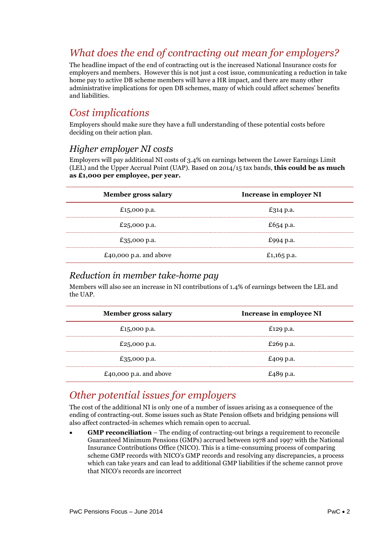# *What does the end of contracting out mean for employers?*

The headline impact of the end of contracting out is the increased National Insurance costs for employers and members. However this is not just a cost issue, communicating a reduction in take home pay to active DB scheme members will have a HR impact, and there are many other administrative implications for open DB schemes, many of which could affect schemes' benefits and liabilities.

### *Cost implications*

Employers should make sure they have a full understanding of these potential costs before deciding on their action plan.

### *Higher employer NI costs*

Employers will pay additional NI costs of 3.4% on earnings between the Lower Earnings Limit (LEL) and the Upper Accrual Point (UAP). Based on 2014/15 tax bands, **this could be as much as £1,000 per employee, per year.**

| <b>Member gross salary</b> | <b>Increase in employer NI</b> |
|----------------------------|--------------------------------|
| £15,000 p.a.               | £314 p.a.                      |
| £25,000 p.a.               | £654 p.a.                      |
| £35,000 p.a.               | £994 p.a.                      |
| £40,000 p.a. and above     | £1,165 p.a.                    |

### *Reduction in member take-home pay*

Members will also see an increase in NI contributions of 1.4% of earnings between the LEL and the UAP.

| <b>Member gross salary</b> | Increase in employee NI |
|----------------------------|-------------------------|
| £15,000 p.a.               | £129 p.a.               |
| £25,000 p.a.               | £269 p.a.               |
| £35,000 p.a.               | £409 p.a.               |
| £40,000 p.a. and above     | £489 p.a.               |

# *Other potential issues for employers*

The cost of the additional NI is only one of a number of issues arising as a consequence of the ending of contracting-out. Some issues such as State Pension offsets and bridging pensions will also affect contracted-in schemes which remain open to accrual.

 **GMP reconciliation** – The ending of contracting-out brings a requirement to reconcile Guaranteed Minimum Pensions (GMPs) accrued between 1978 and 1997 with the National Insurance Contributions Office (NICO). This is a time-consuming process of comparing scheme GMP records with NICO's GMP records and resolving any discrepancies, a process which can take years and can lead to additional GMP liabilities if the scheme cannot prove that NICO's records are incorrect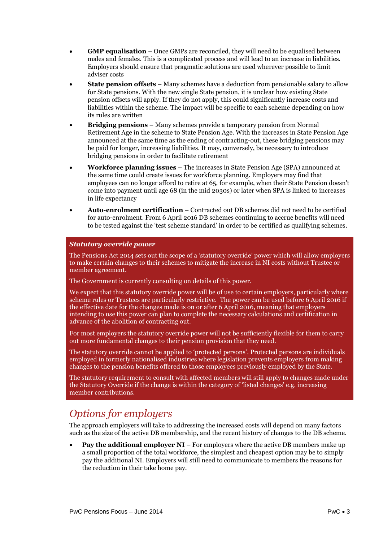- **GMP equalisation** Once GMPs are reconciled, they will need to be equalised between males and females. This is a complicated process and will lead to an increase in liabilities. Employers should ensure that pragmatic solutions are used wherever possible to limit adviser costs
- **State pension offsets** Many schemes have a deduction from pensionable salary to allow for State pensions. With the new single State pension, it is unclear how existing State pension offsets will apply. If they do not apply, this could significantly increase costs and liabilities within the scheme. The impact will be specific to each scheme depending on how its rules are written
- **Bridging pensions** Many schemes provide a temporary pension from Normal Retirement Age in the scheme to State Pension Age. With the increases in State Pension Age announced at the same time as the ending of contracting-out, these bridging pensions may be paid for longer, increasing liabilities. It may, conversely, be necessary to introduce bridging pensions in order to facilitate retirement
- **Workforce planning issues** The increases in State Pension Age (SPA) announced at the same time could create issues for workforce planning. Employers may find that employees can no longer afford to retire at 65, for example, when their State Pension doesn't come into payment until age 68 (in the mid 2030s) or later when SPA is linked to increases in life expectancy
- **Auto-enrolment certification** Contracted out DB schemes did not need to be certified for auto-enrolment. From 6 April 2016 DB schemes continuing to accrue benefits will need to be tested against the 'test scheme standard' in order to be certified as qualifying schemes.

#### *Statutory override power*

The Pensions Act 2014 sets out the scope of a 'statutory override' power which will allow employers to make certain changes to their schemes to mitigate the increase in NI costs without Trustee or member agreement.

The Government is currently consulting on details of this power.

We expect that this statutory override power will be of use to certain employers, particularly where scheme rules or Trustees are particularly restrictive. The power can be used before 6 April 2016 if the effective date for the changes made is on or after 6 April 2016, meaning that employers intending to use this power can plan to complete the necessary calculations and certification in advance of the abolition of contracting out.

For most employers the statutory override power will not be sufficiently flexible for them to carry out more fundamental changes to their pension provision that they need.

The statutory override cannot be applied to 'protected persons'. Protected persons are individuals employed in formerly nationalised industries where legislation prevents employers from making changes to the pension benefits offered to those employees previously employed by the State.

The statutory requirement to consult with affected members will still apply to changes made under the Statutory Override if the change is within the category of 'listed changes' e.g. increasing member contributions.

## *Options for employers*

The approach employers will take to addressing the increased costs will depend on many factors such as the size of the active DB membership, and the recent history of changes to the DB scheme.

**Pay the additional employer NI** – For employers where the active DB members make up a small proportion of the total workforce, the simplest and cheapest option may be to simply pay the additional NI. Employers will still need to communicate to members the reasons for the reduction in their take home pay.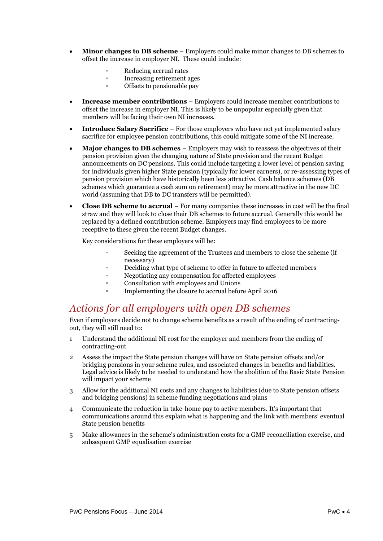- **Minor changes to DB scheme** Employers could make minor changes to DB schemes to offset the increase in employer NI. These could include:
	- **◦** Reducing accrual rates
	- **◦** Increasing retirement ages
	- **◦** Offsets to pensionable pay
- **Increase member contributions** Employers could increase member contributions to offset the increase in employer NI. This is likely to be unpopular especially given that members will be facing their own NI increases.
- **Introduce Salary Sacrifice** For those employers who have not yet implemented salary sacrifice for employee pension contributions, this could mitigate some of the NI increase.
- **Major changes to DB schemes** Employers may wish to reassess the objectives of their pension provision given the changing nature of State provision and the recent Budget announcements on DC pensions. This could include targeting a lower level of pension saving for individuals given higher State pension (typically for lower earners), or re-assessing types of pension provision which have historically been less attractive. Cash balance schemes (DB schemes which guarantee a cash sum on retirement) may be more attractive in the new DC world (assuming that DB to DC transfers will be permitted).
- **Close DB scheme to accrual** For many companies these increases in cost will be the final straw and they will look to close their DB schemes to future accrual. Generally this would be replaced by a defined contribution scheme. Employers may find employees to be more receptive to these given the recent Budget changes.

Key considerations for these employers will be:

- Seeking the agreement of the Trustees and members to close the scheme (if necessary)
- **◦** Deciding what type of scheme to offer in future to affected members
- **◦** Negotiating any compensation for affected employees
- **◦** Consultation with employees and Unions
- Implementing the closure to accrual before April 2016

### *Actions for all employers with open DB schemes*

Even if employers decide not to change scheme benefits as a result of the ending of contractingout, they will still need to:

- 1 Understand the additional NI cost for the employer and members from the ending of contracting-out
- 2 Assess the impact the State pension changes will have on State pension offsets and/or bridging pensions in your scheme rules, and associated changes in benefits and liabilities. Legal advice is likely to be needed to understand how the abolition of the Basic State Pension will impact your scheme
- 3 Allow for the additional NI costs and any changes to liabilities (due to State pension offsets and bridging pensions) in scheme funding negotiations and plans
- 4 Communicate the reduction in take-home pay to active members. It's important that communications around this explain what is happening and the link with members' eventual State pension benefits
- 5 Make allowances in the scheme's administration costs for a GMP reconciliation exercise, and subsequent GMP equalisation exercise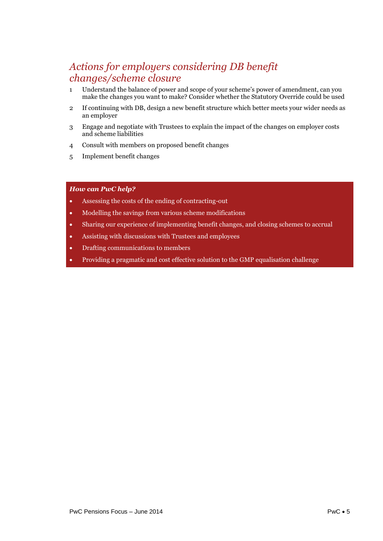## *Actions for employers considering DB benefit changes/scheme closure*

- 1 Understand the balance of power and scope of your scheme's power of amendment, can you make the changes you want to make? Consider whether the Statutory Override could be used
- 2 If continuing with DB, design a new benefit structure which better meets your wider needs as an employer
- 3 Engage and negotiate with Trustees to explain the impact of the changes on employer costs and scheme liabilities
- 4 Consult with members on proposed benefit changes
- 5 Implement benefit changes

#### *How can PwC help?*

- Assessing the costs of the ending of contracting-out
- Modelling the savings from various scheme modifications
- Sharing our experience of implementing benefit changes, and closing schemes to accrual
- Assisting with discussions with Trustees and employees
- Drafting communications to members
- Providing a pragmatic and cost effective solution to the GMP equalisation challenge